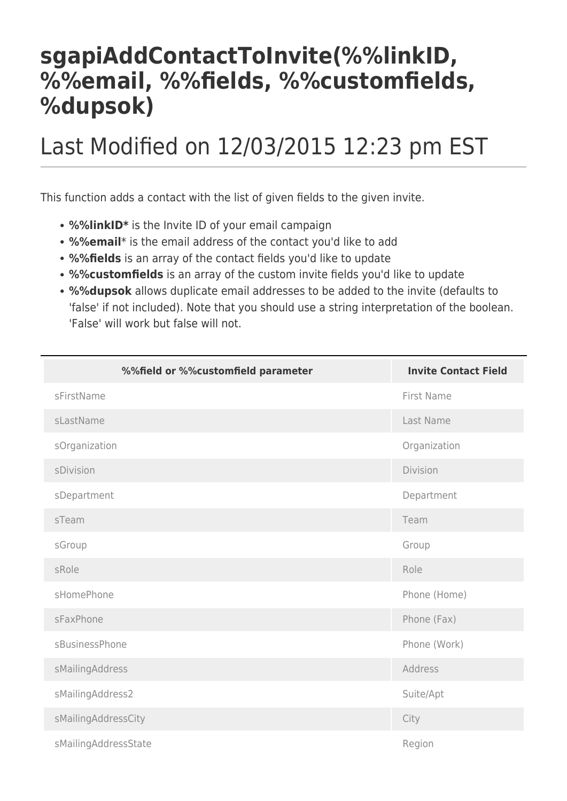## **sgapiAddContactToInvite(%%linkID, %%email, %%fields, %%customfields, %dupsok)**

## Last Modified on 12/03/2015 12:23 pm EST

This function adds a contact with the list of given fields to the given invite.

- **%%linkID\*** is the Invite ID of your email campaign
- **%%email**\* is the email address of the contact you'd like to add
- **%%fields** is an array of the contact fields you'd like to update
- **%%customfields** is an array of the custom invite fields you'd like to update
- **%%dupsok** allows duplicate email addresses to be added to the invite (defaults to 'false' if not included). Note that you should use a string interpretation of the boolean. 'False' will work but false will not.

| %%field or %%customfield parameter | <b>Invite Contact Field</b> |
|------------------------------------|-----------------------------|
| sFirstName                         | First Name                  |
| sLastName                          | Last Name                   |
| sOrganization                      | Organization                |
| sDivision                          | Division                    |
| sDepartment                        | Department                  |
| sTeam                              | Team                        |
| sGroup                             | Group                       |
| sRole                              | Role                        |
| sHomePhone                         | Phone (Home)                |
| sFaxPhone                          | Phone (Fax)                 |
| sBusinessPhone                     | Phone (Work)                |
| sMailingAddress                    | Address                     |
| sMailingAddress2                   | Suite/Apt                   |
| sMailingAddressCity                | City                        |
| sMailingAddressState               | Region                      |